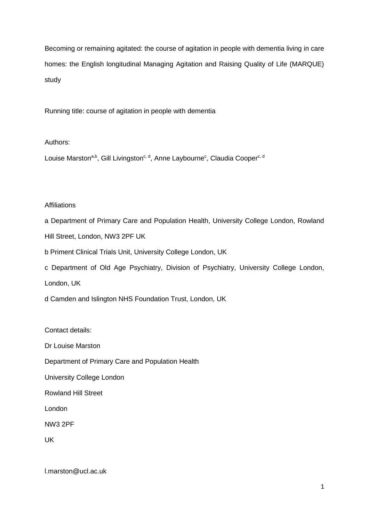Becoming or remaining agitated: the course of agitation in people with dementia living in care homes: the English longitudinal Managing Agitation and Raising Quality of Life (MARQUE) study

Running title: course of agitation in people with dementia

Authors:

Louise Marston<sup>a,b</sup>, Gill Livingston<sup>c, d</sup>, Anne Laybourne<sup>c</sup>, Claudia Cooper<sup>c, d</sup>

# **Affiliations**

a Department of Primary Care and Population Health, University College London, Rowland Hill Street, London, NW3 2PF UK

- b Priment Clinical Trials Unit, University College London, UK
- c Department of Old Age Psychiatry, Division of Psychiatry, University College London,

London, UK

d Camden and Islington NHS Foundation Trust, London, UK

Contact details:

Dr Louise Marston

Department of Primary Care and Population Health

University College London

Rowland Hill Street

London

NW3 2PF

UK

l.marston@ucl.ac.uk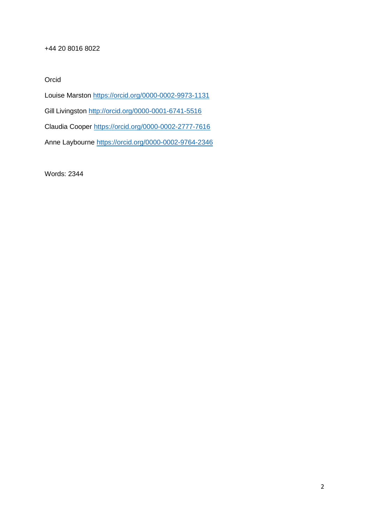# +44 20 8016 8022

Orcid

Louise Marston <https://orcid.org/0000-0002-9973-1131>

Gill Livingston <http://orcid.org/0000-0001-6741-5516>

Claudia Cooper<https://orcid.org/0000-0002-2777-7616>

Anne Laybourne<https://orcid.org/0000-0002-9764-2346>

Words: 2344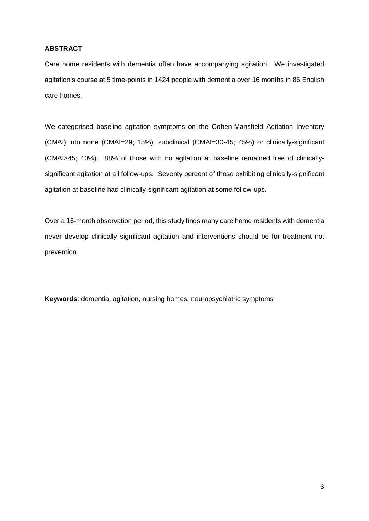# **ABSTRACT**

Care home residents with dementia often have accompanying agitation. We investigated agitation's course at 5 time-points in 1424 people with dementia over 16 months in 86 English care homes.

We categorised baseline agitation symptoms on the Cohen-Mansfield Agitation Inventory (CMAI) into none (CMAI=29; 15%), subclinical (CMAI=30-45; 45%) or clinically-significant (CMAI>45; 40%). 88% of those with no agitation at baseline remained free of clinicallysignificant agitation at all follow-ups. Seventy percent of those exhibiting clinically-significant agitation at baseline had clinically-significant agitation at some follow-ups.

Over a 16-month observation period, this study finds many care home residents with dementia never develop clinically significant agitation and interventions should be for treatment not prevention.

**Keywords**: dementia, agitation, nursing homes, neuropsychiatric symptoms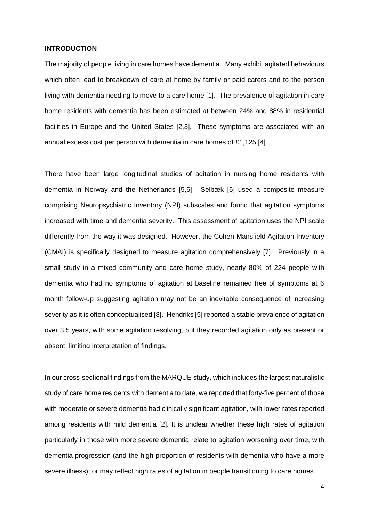## **INTRODUCTION**

The majority of people living in care homes have dementia. Many exhibit agitated behaviours which often lead to breakdown of care at home by family or paid carers and to the person living with dementia needing to move to a care home [1]. The prevalence of agitation in care home residents with dementia has been estimated at between 24% and 88% in residential facilities in Europe and the United States [2,3]. These symptoms are associated with an annual excess cost per person with dementia in care homes of £1,125.[4]

There have been large longitudinal studies of agitation in nursing home residents with dementia in Norway and the Netherlands [5,6]. Selbæk [6] used a composite measure comprising Neuropsychiatric Inventory (NPI) subscales and found that agitation symptoms increased with time and dementia severity. This assessment of agitation uses the NPI scale differently from the way it was designed. However, the Cohen-Mansfield Agitation Inventory (CMAI) is specifically designed to measure agitation comprehensively [7]. Previously in a small study in a mixed community and care home study, nearly 80% of 224 people with dementia who had no symptoms of agitation at baseline remained free of symptoms at 6 month follow-up suggesting agitation may not be an inevitable consequence of increasing severity as it is often conceptualised [8]. Hendriks [5] reported a stable prevalence of agitation over 3.5 years, with some agitation resolving, but they recorded agitation only as present or absent, limiting interpretation of findings.

In our cross-sectional findings from the MARQUE study, which includes the largest naturalistic study of care home residents with dementia to date, we reported that forty-five percent of those with moderate or severe dementia had clinically significant agitation, with lower rates reported among residents with mild dementia [2]. It is unclear whether these high rates of agitation particularly in those with more severe dementia relate to agitation worsening over time, with dementia progression (and the high proportion of residents with dementia who have a more severe illness); or may reflect high rates of agitation in people transitioning to care homes.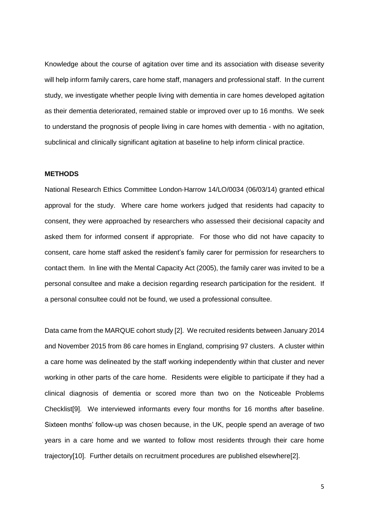Knowledge about the course of agitation over time and its association with disease severity will help inform family carers, care home staff, managers and professional staff. In the current study, we investigate whether people living with dementia in care homes developed agitation as their dementia deteriorated, remained stable or improved over up to 16 months. We seek to understand the prognosis of people living in care homes with dementia - with no agitation, subclinical and clinically significant agitation at baseline to help inform clinical practice.

# **METHODS**

National Research Ethics Committee London‐Harrow 14/LO/0034 (06/03/14) granted ethical approval for the study. Where care home workers judged that residents had capacity to consent, they were approached by researchers who assessed their decisional capacity and asked them for informed consent if appropriate. For those who did not have capacity to consent, care home staff asked the resident's family carer for permission for researchers to contact them. In line with the Mental Capacity Act (2005), the family carer was invited to be a personal consultee and make a decision regarding research participation for the resident. If a personal consultee could not be found, we used a professional consultee.

Data came from the MARQUE cohort study [2]. We recruited residents between January 2014 and November 2015 from 86 care homes in England, comprising 97 clusters. A cluster within a care home was delineated by the staff working independently within that cluster and never working in other parts of the care home. Residents were eligible to participate if they had a clinical diagnosis of dementia or scored more than two on the Noticeable Problems Checklist[9]. We interviewed informants every four months for 16 months after baseline. Sixteen months' follow-up was chosen because, in the UK, people spend an average of two years in a care home and we wanted to follow most residents through their care home trajectory[10]. Further details on recruitment procedures are published elsewhere[2].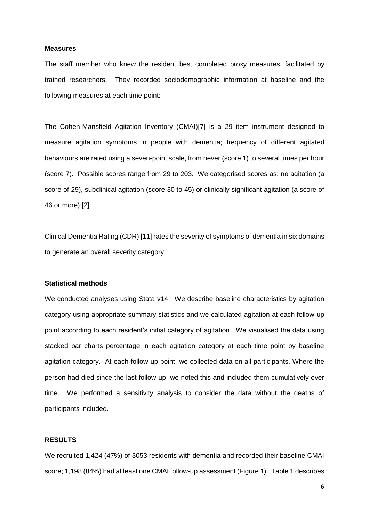#### **Measures**

The staff member who knew the resident best completed proxy measures, facilitated by trained researchers. They recorded sociodemographic information at baseline and the following measures at each time point:

The Cohen-Mansfield Agitation Inventory (CMAI)[7] is a 29 item instrument designed to measure agitation symptoms in people with dementia; frequency of different agitated behaviours are rated using a seven-point scale, from never (score 1) to several times per hour (score 7). Possible scores range from 29 to 203. We categorised scores as: no agitation (a score of 29), subclinical agitation (score 30 to 45) or clinically significant agitation (a score of 46 or more) [2].

Clinical Dementia Rating (CDR) [11] rates the severity of symptoms of dementia in six domains to generate an overall severity category.

## **Statistical methods**

We conducted analyses using Stata v14. We describe baseline characteristics by agitation category using appropriate summary statistics and we calculated agitation at each follow-up point according to each resident's initial category of agitation. We visualised the data using stacked bar charts percentage in each agitation category at each time point by baseline agitation category. At each follow-up point, we collected data on all participants. Where the person had died since the last follow-up, we noted this and included them cumulatively over time. We performed a sensitivity analysis to consider the data without the deaths of participants included.

# **RESULTS**

We recruited 1,424 (47%) of 3053 residents with dementia and recorded their baseline CMAI score; 1,198 (84%) had at least one CMAI follow-up assessment (Figure 1). Table 1 describes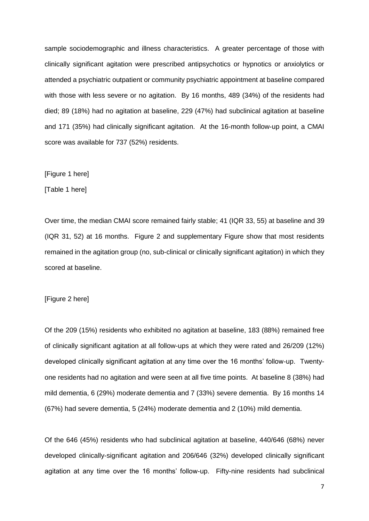sample sociodemographic and illness characteristics. A greater percentage of those with clinically significant agitation were prescribed antipsychotics or hypnotics or anxiolytics or attended a psychiatric outpatient or community psychiatric appointment at baseline compared with those with less severe or no agitation. By 16 months, 489 (34%) of the residents had died; 89 (18%) had no agitation at baseline, 229 (47%) had subclinical agitation at baseline and 171 (35%) had clinically significant agitation. At the 16-month follow-up point, a CMAI score was available for 737 (52%) residents.

# [Figure 1 here]

[Table 1 here]

Over time, the median CMAI score remained fairly stable; 41 (IQR 33, 55) at baseline and 39 (IQR 31, 52) at 16 months. Figure 2 and supplementary Figure show that most residents remained in the agitation group (no, sub-clinical or clinically significant agitation) in which they scored at baseline.

[Figure 2 here]

Of the 209 (15%) residents who exhibited no agitation at baseline, 183 (88%) remained free of clinically significant agitation at all follow-ups at which they were rated and 26/209 (12%) developed clinically significant agitation at any time over the 16 months' follow-up. Twentyone residents had no agitation and were seen at all five time points. At baseline 8 (38%) had mild dementia, 6 (29%) moderate dementia and 7 (33%) severe dementia. By 16 months 14 (67%) had severe dementia, 5 (24%) moderate dementia and 2 (10%) mild dementia.

Of the 646 (45%) residents who had subclinical agitation at baseline, 440/646 (68%) never developed clinically-significant agitation and 206/646 (32%) developed clinically significant agitation at any time over the 16 months' follow-up. Fifty-nine residents had subclinical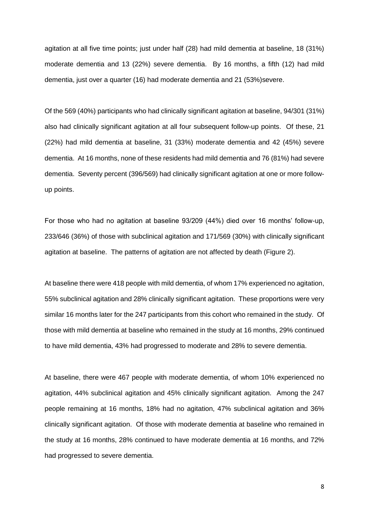agitation at all five time points; just under half (28) had mild dementia at baseline, 18 (31%) moderate dementia and 13 (22%) severe dementia. By 16 months, a fifth (12) had mild dementia, just over a quarter (16) had moderate dementia and 21 (53%)severe.

Of the 569 (40%) participants who had clinically significant agitation at baseline, 94/301 (31%) also had clinically significant agitation at all four subsequent follow-up points. Of these, 21 (22%) had mild dementia at baseline, 31 (33%) moderate dementia and 42 (45%) severe dementia. At 16 months, none of these residents had mild dementia and 76 (81%) had severe dementia. Seventy percent (396/569) had clinically significant agitation at one or more followup points.

For those who had no agitation at baseline 93/209 (44%) died over 16 months' follow-up, 233/646 (36%) of those with subclinical agitation and 171/569 (30%) with clinically significant agitation at baseline. The patterns of agitation are not affected by death (Figure 2).

At baseline there were 418 people with mild dementia, of whom 17% experienced no agitation, 55% subclinical agitation and 28% clinically significant agitation. These proportions were very similar 16 months later for the 247 participants from this cohort who remained in the study. Of those with mild dementia at baseline who remained in the study at 16 months, 29% continued to have mild dementia, 43% had progressed to moderate and 28% to severe dementia.

At baseline, there were 467 people with moderate dementia, of whom 10% experienced no agitation, 44% subclinical agitation and 45% clinically significant agitation. Among the 247 people remaining at 16 months, 18% had no agitation, 47% subclinical agitation and 36% clinically significant agitation. Of those with moderate dementia at baseline who remained in the study at 16 months, 28% continued to have moderate dementia at 16 months, and 72% had progressed to severe dementia.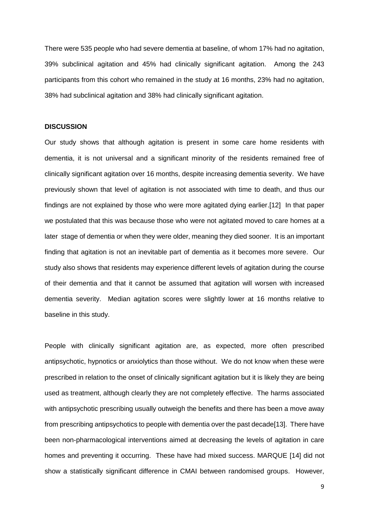There were 535 people who had severe dementia at baseline, of whom 17% had no agitation, 39% subclinical agitation and 45% had clinically significant agitation. Among the 243 participants from this cohort who remained in the study at 16 months, 23% had no agitation, 38% had subclinical agitation and 38% had clinically significant agitation.

#### **DISCUSSION**

Our study shows that although agitation is present in some care home residents with dementia, it is not universal and a significant minority of the residents remained free of clinically significant agitation over 16 months, despite increasing dementia severity. We have previously shown that level of agitation is not associated with time to death, and thus our findings are not explained by those who were more agitated dying earlier.[12] In that paper we postulated that this was because those who were not agitated moved to care homes at a later stage of dementia or when they were older, meaning they died sooner. It is an important finding that agitation is not an inevitable part of dementia as it becomes more severe. Our study also shows that residents may experience different levels of agitation during the course of their dementia and that it cannot be assumed that agitation will worsen with increased dementia severity. Median agitation scores were slightly lower at 16 months relative to baseline in this study.

People with clinically significant agitation are, as expected, more often prescribed antipsychotic, hypnotics or anxiolytics than those without. We do not know when these were prescribed in relation to the onset of clinically significant agitation but it is likely they are being used as treatment, although clearly they are not completely effective. The harms associated with antipsychotic prescribing usually outweigh the benefits and there has been a move away from prescribing antipsychotics to people with dementia over the past decade[13]. There have been non-pharmacological interventions aimed at decreasing the levels of agitation in care homes and preventing it occurring. These have had mixed success. MARQUE [14] did not show a statistically significant difference in CMAI between randomised groups. However,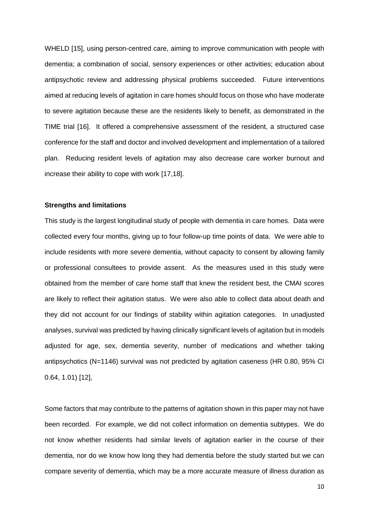WHELD [15], using person-centred care, aiming to improve communication with people with dementia; a combination of social, sensory experiences or other activities; education about antipsychotic review and addressing physical problems succeeded. Future interventions aimed at reducing levels of agitation in care homes should focus on those who have moderate to severe agitation because these are the residents likely to benefit, as demonstrated in the TIME trial [16]. It offered a comprehensive assessment of the resident, a structured case conference for the staff and doctor and involved development and implementation of a tailored plan. Reducing resident levels of agitation may also decrease care worker burnout and increase their ability to cope with work [17,18].

#### **Strengths and limitations**

This study is the largest longitudinal study of people with dementia in care homes. Data were collected every four months, giving up to four follow-up time points of data. We were able to include residents with more severe dementia, without capacity to consent by allowing family or professional consultees to provide assent. As the measures used in this study were obtained from the member of care home staff that knew the resident best, the CMAI scores are likely to reflect their agitation status. We were also able to collect data about death and they did not account for our findings of stability within agitation categories. In unadjusted analyses, survival was predicted by having clinically significant levels of agitation but in models adjusted for age, sex, dementia severity, number of medications and whether taking antipsychotics (N=1146) survival was not predicted by agitation caseness (HR 0.80, 95% CI 0.64, 1.01) [12],

Some factors that may contribute to the patterns of agitation shown in this paper may not have been recorded. For example, we did not collect information on dementia subtypes. We do not know whether residents had similar levels of agitation earlier in the course of their dementia, nor do we know how long they had dementia before the study started but we can compare severity of dementia, which may be a more accurate measure of illness duration as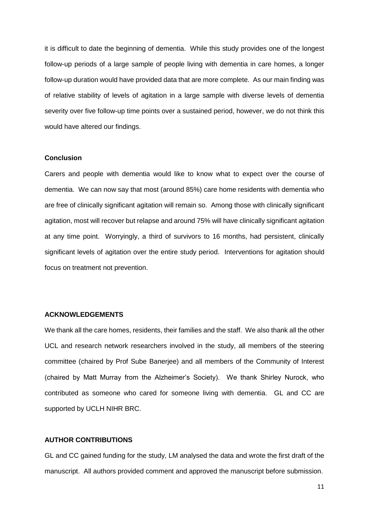it is difficult to date the beginning of dementia. While this study provides one of the longest follow-up periods of a large sample of people living with dementia in care homes, a longer follow-up duration would have provided data that are more complete. As our main finding was of relative stability of levels of agitation in a large sample with diverse levels of dementia severity over five follow-up time points over a sustained period, however, we do not think this would have altered our findings.

#### **Conclusion**

Carers and people with dementia would like to know what to expect over the course of dementia. We can now say that most (around 85%) care home residents with dementia who are free of clinically significant agitation will remain so. Among those with clinically significant agitation, most will recover but relapse and around 75% will have clinically significant agitation at any time point. Worryingly, a third of survivors to 16 months, had persistent, clinically significant levels of agitation over the entire study period. Interventions for agitation should focus on treatment not prevention.

## **ACKNOWLEDGEMENTS**

We thank all the care homes, residents, their families and the staff. We also thank all the other UCL and research network researchers involved in the study, all members of the steering committee (chaired by Prof Sube Banerjee) and all members of the Community of Interest (chaired by Matt Murray from the Alzheimer's Society). We thank Shirley Nurock, who contributed as someone who cared for someone living with dementia. GL and CC are supported by UCLH NIHR BRC.

# **AUTHOR CONTRIBUTIONS**

GL and CC gained funding for the study, LM analysed the data and wrote the first draft of the manuscript. All authors provided comment and approved the manuscript before submission.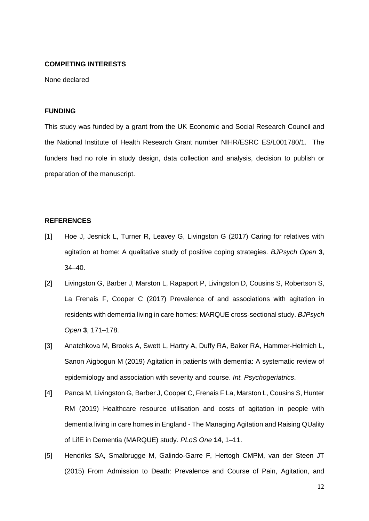# **COMPETING INTERESTS**

None declared

# **FUNDING**

This study was funded by a grant from the UK Economic and Social Research Council and the National Institute of Health Research Grant number NIHR/ESRC ES/L001780/1. The funders had no role in study design, data collection and analysis, decision to publish or preparation of the manuscript.

# **REFERENCES**

- [1] Hoe J, Jesnick L, Turner R, Leavey G, Livingston G (2017) Caring for relatives with agitation at home: A qualitative study of positive coping strategies. *BJPsych Open* **3**, 34–40.
- [2] Livingston G, Barber J, Marston L, Rapaport P, Livingston D, Cousins S, Robertson S, La Frenais F, Cooper C (2017) Prevalence of and associations with agitation in residents with dementia living in care homes: MARQUE cross-sectional study. *BJPsych Open* **3**, 171–178.
- [3] Anatchkova M, Brooks A, Swett L, Hartry A, Duffy RA, Baker RA, Hammer-Helmich L, Sanon Aigbogun M (2019) Agitation in patients with dementia: A systematic review of epidemiology and association with severity and course. *Int. Psychogeriatrics*.
- [4] Panca M, Livingston G, Barber J, Cooper C, Frenais F La, Marston L, Cousins S, Hunter RM (2019) Healthcare resource utilisation and costs of agitation in people with dementia living in care homes in England - The Managing Agitation and Raising QUality of LifE in Dementia (MARQUE) study. *PLoS One* **14**, 1–11.
- [5] Hendriks SA, Smalbrugge M, Galindo-Garre F, Hertogh CMPM, van der Steen JT (2015) From Admission to Death: Prevalence and Course of Pain, Agitation, and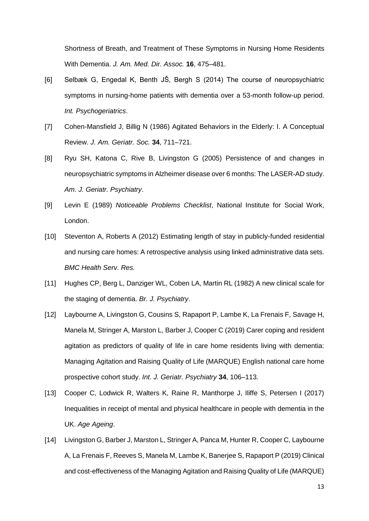Shortness of Breath, and Treatment of These Symptoms in Nursing Home Residents With Dementia. *J. Am. Med. Dir. Assoc.* **16**, 475–481.

- [6] Selbæk G, Engedal K, Benth JŠ, Bergh S (2014) The course of neuropsychiatric symptoms in nursing-home patients with dementia over a 53-month follow-up period. *Int. Psychogeriatrics*.
- [7] Cohen-Mansfield J, Billig N (1986) Agitated Behaviors in the Elderly: I. A Conceptual Review. *J. Am. Geriatr. Soc.* **34**, 711–721.
- [8] Ryu SH, Katona C, Rive B, Livingston G (2005) Persistence of and changes in neuropsychiatric symptoms in Alzheimer disease over 6 months: The LASER-AD study. *Am. J. Geriatr. Psychiatry*.
- [9] Levin E (1989) *Noticeable Problems Checklist*, National Institute for Social Work, London.
- [10] Steventon A, Roberts A (2012) Estimating length of stay in publicly-funded residential and nursing care homes: A retrospective analysis using linked administrative data sets. *BMC Health Serv. Res.*
- [11] Hughes CP, Berg L, Danziger WL, Coben LA, Martin RL (1982) A new clinical scale for the staging of dementia. *Br. J. Psychiatry*.
- [12] Laybourne A, Livingston G, Cousins S, Rapaport P, Lambe K, La Frenais F, Savage H, Manela M, Stringer A, Marston L, Barber J, Cooper C (2019) Carer coping and resident agitation as predictors of quality of life in care home residents living with dementia: Managing Agitation and Raising Quality of Life (MARQUE) English national care home prospective cohort study. *Int. J. Geriatr. Psychiatry* **34**, 106–113.
- [13] Cooper C, Lodwick R, Walters K, Raine R, Manthorpe J, Iliffe S, Petersen I (2017) Inequalities in receipt of mental and physical healthcare in people with dementia in the UK. *Age Ageing*.
- [14] Livingston G, Barber J, Marston L, Stringer A, Panca M, Hunter R, Cooper C, Laybourne A, La Frenais F, Reeves S, Manela M, Lambe K, Banerjee S, Rapaport P (2019) Clinical and cost-effectiveness of the Managing Agitation and Raising Quality of Life (MARQUE)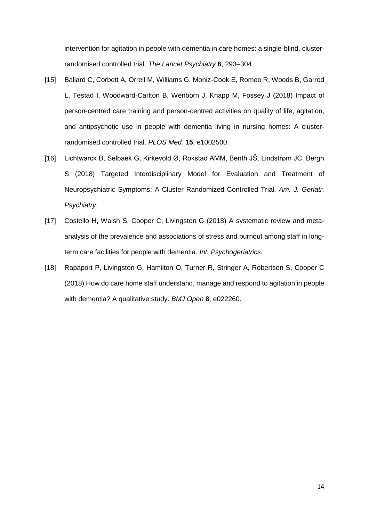intervention for agitation in people with dementia in care homes: a single-blind, clusterrandomised controlled trial. *The Lancet Psychiatry* **6**, 293–304.

- [15] Ballard C, Corbett A, Orrell M, Williams G, Moniz-Cook E, Romeo R, Woods B, Garrod L, Testad I, Woodward-Carlton B, Wenborn J, Knapp M, Fossey J (2018) Impact of person-centred care training and person-centred activities on quality of life, agitation, and antipsychotic use in people with dementia living in nursing homes: A clusterrandomised controlled trial. *PLOS Med.* **15**, e1002500.
- [16] Lichtwarck B, Selbaek G, Kirkevold Ø, Rokstad AMM, Benth JŠ, Lindstrøm JC, Bergh S (2018) Targeted Interdisciplinary Model for Evaluation and Treatment of Neuropsychiatric Symptoms: A Cluster Randomized Controlled Trial. *Am. J. Geriatr. Psychiatry*.
- [17] Costello H, Walsh S, Cooper C, Livingston G (2018) A systematic review and metaanalysis of the prevalence and associations of stress and burnout among staff in longterm care facilities for people with dementia. *Int. Psychogeriatrics*.
- [18] Rapaport P, Livingston G, Hamilton O, Turner R, Stringer A, Robertson S, Cooper C (2018) How do care home staff understand, manage and respond to agitation in people with dementia? A qualitative study. *BMJ Open* **8**, e022260.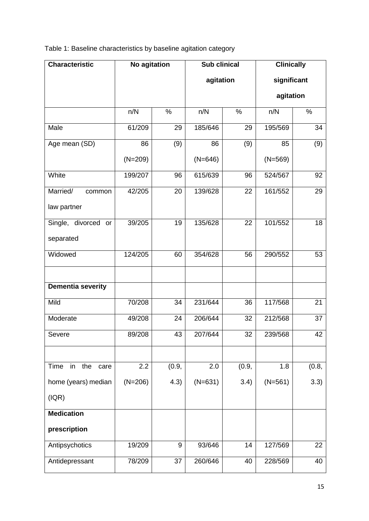Table 1: Baseline characteristics by baseline agitation category

| <b>Characteristic</b>     | <b>No agitation</b><br><b>Sub clinical</b> |       |           | <b>Clinically</b> |             |       |
|---------------------------|--------------------------------------------|-------|-----------|-------------------|-------------|-------|
|                           |                                            |       | agitation |                   | significant |       |
|                           |                                            |       |           |                   | agitation   |       |
|                           | n/N                                        | $\%$  | n/N       | $\%$              | n/N         | %     |
| Male                      | 61/209                                     | 29    | 185/646   | 29                | 195/569     | 34    |
| Age mean (SD)             | 86                                         | (9)   | 86        | (9)               | 85          | (9)   |
|                           | $(N=209)$                                  |       | $(N=646)$ |                   | $(N=569)$   |       |
| White                     | 199/207                                    | 96    | 615/639   | 96                | 524/567     | 92    |
| Married/<br>common        | 42/205                                     | 20    | 139/628   | 22                | 161/552     | 29    |
| law partner               |                                            |       |           |                   |             |       |
| Single, divorced or       | 39/205                                     | 19    | 135/628   | 22                | 101/552     | 18    |
| separated                 |                                            |       |           |                   |             |       |
| Widowed                   | 124/205                                    | 60    | 354/628   | 56                | 290/552     | 53    |
|                           |                                            |       |           |                   |             |       |
| <b>Dementia severity</b>  |                                            |       |           |                   |             |       |
| Mild                      | 70/208                                     | 34    | 231/644   | 36                | 117/568     | 21    |
| Moderate                  | 49/208                                     | 24    | 206/644   | 32                | 212/568     | 37    |
| Severe                    | 89/208                                     | 43    | 207/644   | 32                | 239/568     | 42    |
|                           |                                            |       |           |                   |             |       |
| Time<br>in<br>the<br>care | 2.2                                        | (0.9, | 2.0       | (0.9,             | 1.8         | (0.8, |
| home (years) median       | $(N=206)$                                  | 4.3)  | $(N=631)$ | 3.4)              | $(N=561)$   | 3.3)  |
| ( IQR)                    |                                            |       |           |                   |             |       |
| <b>Medication</b>         |                                            |       |           |                   |             |       |
| prescription              |                                            |       |           |                   |             |       |
| Antipsychotics            | 19/209                                     | 9     | 93/646    | 14                | 127/569     | 22    |
| Antidepressant            | 78/209                                     | 37    | 260/646   | 40                | 228/569     | 40    |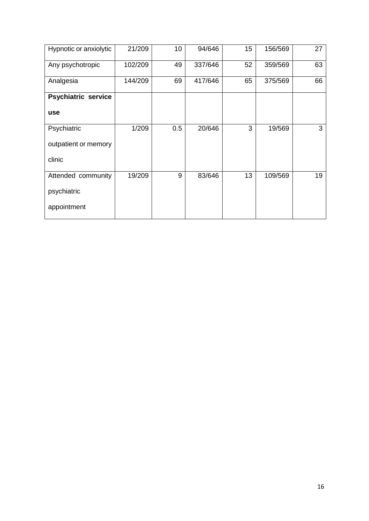| Hypnotic or anxiolytic     | 21/209  | 10  | 94/646  | 15 | 156/569 | 27 |
|----------------------------|---------|-----|---------|----|---------|----|
| Any psychotropic           | 102/209 | 49  | 337/646 | 52 | 359/569 | 63 |
| Analgesia                  | 144/209 | 69  | 417/646 | 65 | 375/569 | 66 |
| <b>Psychiatric service</b> |         |     |         |    |         |    |
| use                        |         |     |         |    |         |    |
| Psychiatric                | 1/209   | 0.5 | 20/646  | 3  | 19/569  | 3  |
| outpatient or memory       |         |     |         |    |         |    |
| clinic                     |         |     |         |    |         |    |
| Attended community         | 19/209  | 9   | 83/646  | 13 | 109/569 | 19 |
| psychiatric                |         |     |         |    |         |    |
| appointment                |         |     |         |    |         |    |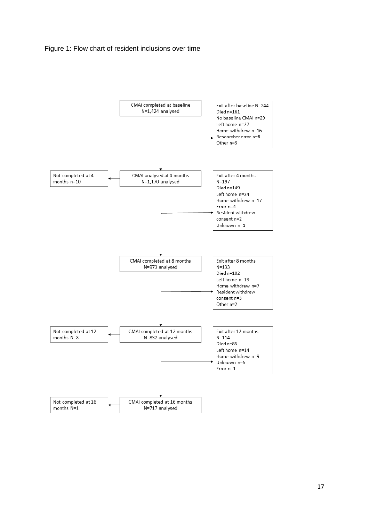# Figure 1: Flow chart of resident inclusions over time

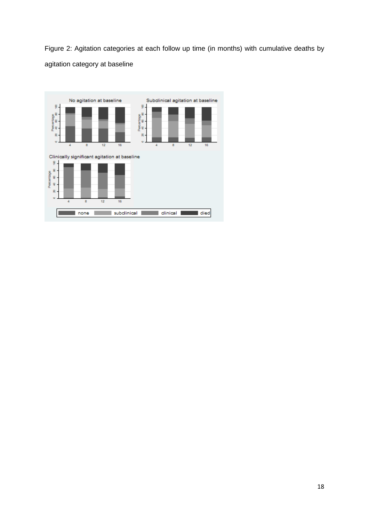Figure 2: Agitation categories at each follow up time (in months) with cumulative deaths by agitation category at baseline